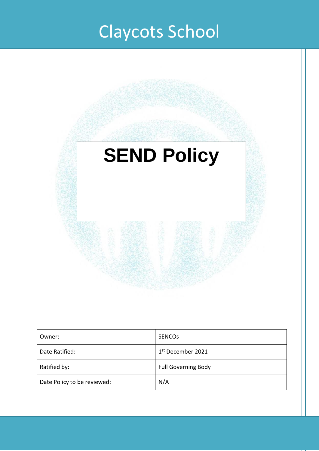## Claycots School

# **SEND Policy**



| Owner:                      | <b>SENCOS</b>              |
|-----------------------------|----------------------------|
| Date Ratified:              | 1st December 2021          |
| Ratified by:                | <b>Full Governing Body</b> |
| Date Policy to be reviewed: | N/A                        |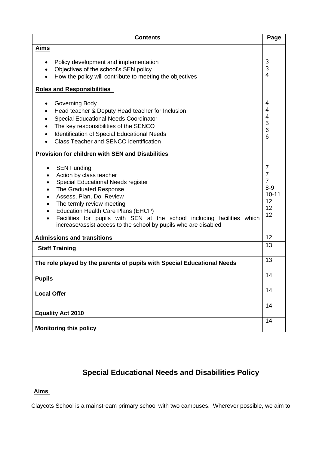| <b>Contents</b>                                                                                                                                                                                                                                                                                                                                                                                                                            | Page                                                                                         |
|--------------------------------------------------------------------------------------------------------------------------------------------------------------------------------------------------------------------------------------------------------------------------------------------------------------------------------------------------------------------------------------------------------------------------------------------|----------------------------------------------------------------------------------------------|
| <b>Aims</b>                                                                                                                                                                                                                                                                                                                                                                                                                                |                                                                                              |
| Policy development and implementation<br>Objectives of the school's SEN policy<br>How the policy will contribute to meeting the objectives                                                                                                                                                                                                                                                                                                 | 3<br>3<br>4                                                                                  |
|                                                                                                                                                                                                                                                                                                                                                                                                                                            |                                                                                              |
| <b>Roles and Responsibilities</b>                                                                                                                                                                                                                                                                                                                                                                                                          |                                                                                              |
| Governing Body<br>٠<br>Head teacher & Deputy Head teacher for Inclusion<br><b>Special Educational Needs Coordinator</b><br>$\bullet$<br>The key responsibilities of the SENCO<br>Identification of Special Educational Needs<br>Class Teacher and SENCO identification                                                                                                                                                                     | 4<br>4<br>4<br>5<br>6<br>6                                                                   |
| Provision for children with SEN and Disabilities                                                                                                                                                                                                                                                                                                                                                                                           |                                                                                              |
| <b>SEN Funding</b><br>$\bullet$<br>• Action by class teacher<br>Special Educational Needs register<br>$\bullet$<br>The Graduated Response<br>$\bullet$<br>Assess, Plan, Do, Review<br>$\bullet$<br>The termly review meeting<br>$\bullet$<br>Education Health Care Plans (EHCP)<br>$\bullet$<br>Facilities for pupils with SEN at the school including facilities which<br>increase/assist access to the school by pupils who are disabled | $\overline{7}$<br>$\overline{7}$<br>$\overline{7}$<br>$8 - 9$<br>$10 - 11$<br>12<br>12<br>12 |
| <b>Admissions and transitions</b>                                                                                                                                                                                                                                                                                                                                                                                                          | 12                                                                                           |
| <b>Staff Training</b>                                                                                                                                                                                                                                                                                                                                                                                                                      | 13                                                                                           |
| The role played by the parents of pupils with Special Educational Needs                                                                                                                                                                                                                                                                                                                                                                    | 13                                                                                           |
| <b>Pupils</b>                                                                                                                                                                                                                                                                                                                                                                                                                              | 14                                                                                           |
| <b>Local Offer</b>                                                                                                                                                                                                                                                                                                                                                                                                                         | 14                                                                                           |
| <b>Equality Act 2010</b>                                                                                                                                                                                                                                                                                                                                                                                                                   | 14                                                                                           |
| <b>Monitoring this policy</b>                                                                                                                                                                                                                                                                                                                                                                                                              | 14                                                                                           |

## **Special Educational Needs and Disabilities Policy**

### **Aims**

Claycots School is a mainstream primary school with two campuses. Wherever possible, we aim to: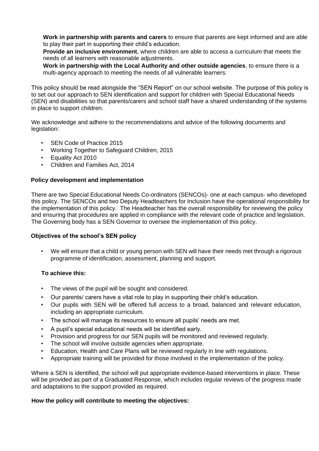**Work in partnership with parents and carers** to ensure that parents are kept informed and are able to play their part in supporting their child's education.

**Provide an inclusive environment**, where children are able to access a curriculum that meets the needs of all learners with reasonable adjustments.

**Work in partnership with the Local Authority and other outside agencies**, to ensure there is a multi-agency approach to meeting the needs of all vulnerable learners.

This policy should be read alongside the "SEN Report" on our school website. The purpose of this policy is to set out our approach to SEN identification and support for children with Special Educational Needs (SEN) and disabilities so that parents/carers and school staff have a shared understanding of the systems in place to support children.

We acknowledge and adhere to the recommendations and advice of the following documents and legislation:

- SEN Code of Practice 2015
- Working Together to Safeguard Children, 2015
- Equality Act 2010
- Children and Families Act, 2014

#### **Policy development and implementation**

There are two Special Educational Needs Co-ordinators (SENCOs)- one at each campus- who developed this policy. The SENCOs and two Deputy Headteachers for Inclusion have the operational responsibility for the implementation of this policy. The Headteacher has the overall responsibility for reviewing the policy and ensuring that procedures are applied in compliance with the relevant code of practice and legislation. The Governing body has a SEN Governor to oversee the implementation of this policy.

#### **Objectives of the school's SEN policy**

We will ensure that a child or young person with SEN will have their needs met through a rigorous programme of identification, assessment, planning and support.

#### **To achieve this:**

- The views of the pupil will be sought and considered.
- Our parents/ carers have a vital role to play in supporting their child's education.
- Our pupils with SEN will be offered full access to a broad, balanced and relevant education, including an appropriate curriculum.
- The school will manage its resources to ensure all pupils' needs are met.
- A pupil's special educational needs will be identified early.
- Provision and progress for our SEN pupils will be monitored and reviewed regularly.
- The school will involve outside agencies when appropriate.
- Education, Health and Care Plans will be reviewed regularly in line with regulations.
- Appropriate training will be provided for those involved in the implementation of the policy.

Where a SEN is identified, the school will put appropriate evidence-based interventions in place. These will be provided as part of a Graduated Response, which includes regular reviews of the progress made and adaptations to the support provided as required.

#### **How the policy will contribute to meeting the objectives:**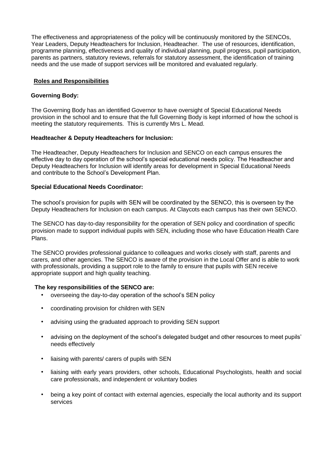The effectiveness and appropriateness of the policy will be continuously monitored by the SENCOs, Year Leaders, Deputy Headteachers for Inclusion, Headteacher. The use of resources, identification, programme planning, effectiveness and quality of individual planning, pupil progress, pupil participation, parents as partners, statutory reviews, referrals for statutory assessment, the identification of training needs and the use made of support services will be monitored and evaluated regularly.

#### **Roles and Responsibilities**

#### **Governing Body:**

The Governing Body has an identified Governor to have oversight of Special Educational Needs provision in the school and to ensure that the full Governing Body is kept informed of how the school is meeting the statutory requirements. This is currently Mrs L. Mead.

#### **Headteacher & Deputy Headteachers for Inclusion:**

The Headteacher, Deputy Headteachers for Inclusion and SENCO on each campus ensures the effective day to day operation of the school's special educational needs policy. The Headteacher and Deputy Headteachers for Inclusion will identify areas for development in Special Educational Needs and contribute to the School's Development Plan.

#### **Special Educational Needs Coordinator:**

The school's provision for pupils with SEN will be coordinated by the SENCO, this is overseen by the Deputy Headteachers for Inclusion on each campus. At Claycots each campus has their own SENCO.

The SENCO has day-to-day responsibility for the operation of SEN policy and coordination of specific provision made to support individual pupils with SEN, including those who have Education Health Care Plans.

The SENCO provides professional guidance to colleagues and works closely with staff, parents and carers, and other agencies. The SENCO is aware of the provision in the Local Offer and is able to work with professionals, providing a support role to the family to ensure that pupils with SEN receive appropriate support and high quality teaching.

#### **The key responsibilities of the SENCO are:**

- overseeing the day-to-day operation of the school's SEN policy
- coordinating provision for children with SEN
- advising using the graduated approach to providing SEN support
- advising on the deployment of the school's delegated budget and other resources to meet pupils' needs effectively
- liaising with parents/ carers of pupils with SEN
- liaising with early years providers, other schools, Educational Psychologists, health and social care professionals, and independent or voluntary bodies
- being a key point of contact with external agencies, especially the local authority and its support services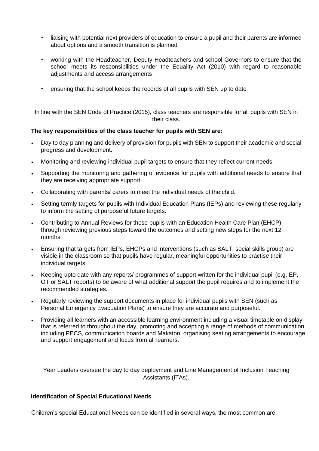- liaising with potential next providers of education to ensure a pupil and their parents are informed about options and a smooth transition is planned
- working with the Headteacher, Deputy Headteachers and school Governors to ensure that the school meets its responsibilities under the Equality Act (2010) with regard to reasonable adjustments and access arrangements
- ensuring that the school keeps the records of all pupils with SEN up to date

In line with the SEN Code of Practice (2015), class teachers are responsible for all pupils with SEN in their class.

#### **The key responsibilities of the class teacher for pupils with SEN are:**

- Day to day planning and delivery of provision for pupils with SEN to support their academic and social progress and development.
- Monitoring and reviewing individual pupil targets to ensure that they reflect current needs.
- Supporting the monitoring and gathering of evidence for pupils with additional needs to ensure that they are receiving appropriate support.
- Collaborating with parents/ carers to meet the individual needs of the child.
- Setting termly targets for pupils with Individual Education Plans (IEPs) and reviewing these regularly to inform the setting of purposeful future targets.
- Contributing to Annual Reviews for those pupils with an Education Health Care Plan (EHCP) through reviewing previous steps toward the outcomes and setting new steps for the next 12 months.
- Ensuring that targets from IEPs, EHCPs and interventions (such as SALT, social skills group) are visible in the classroom so that pupils have regular, meaningful opportunities to practise their individual targets.
- Keeping upto date with any reports/ programmes of support written for the individual pupil (e.g. EP, OT or SALT reports) to be aware of what additional support the pupil requires and to implement the recommended strategies.
- Regularly reviewing the support documents in place for individual pupils with SEN (such as Personal Emergency Evacuation Plans) to ensure they are accurate and purposeful.
- Providing all learners with an accessible learning environment including a visual timetable on display that is referred to throughout the day, promoting and accepting a range of methods of communication including PECS, communication boards and Makaton, organising seating arrangements to encourage and support engagement and focus from all learners.

Year Leaders oversee the day to day deployment and Line Management of Inclusion Teaching Assistants (ITAs).

#### **Identification of Special Educational Needs**

Children's special Educational Needs can be identified in several ways, the most common are: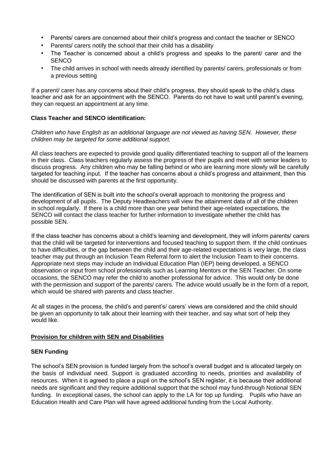- Parents/ carers are concerned about their child's progress and contact the teacher or SENCO
- Parents/ carers notify the school that their child has a disability
- The Teacher is concerned about a child's progress and speaks to the parent/ carer and the **SENCO**
- The child arrives in school with needs already identified by parents/ carers, professionals or from a previous setting

If a parent/ carer has any concerns about their child's progress, they should speak to the child's class teacher and ask for an appointment with the SENCO. Parents do not have to wait until parent's evening, they can request an appointment at any time.

#### **Class Teacher and SENCO identification:**

*Children who have English as an additional language are not viewed as having SEN. However, these children may be targeted for some additional support.* 

All class teachers are expected to provide good quality differentiated teaching to support all of the learners in their class. Class teachers regularly assess the progress of their pupils and meet with senior leaders to discuss progress. Any children who may be falling behind or who are learning more slowly will be carefully targeted for teaching input. If the teacher has concerns about a child's progress and attainment, then this should be discussed with parents at the first opportunity.

The identification of SEN is built into the school's overall approach to monitoring the progress and development of all pupils. The Deputy Headteachers will view the attainment data of all of the children in school regularly. If there is a child more than one year behind their age-related expectations, the SENCO will contact the class teacher for further information to investigate whether the child has possible SEN.

If the class teacher has concerns about a child's learning and development, they will inform parents/ carers that the child will be targeted for interventions and focused teaching to support them. If the child continues to have difficulties, or the gap between the child and their age-related expectations is very large, the class teacher may put through an Inclusion Team Referral form to alert the Inclusion Team to their concerns. Appropriate next steps may include an Individual Education Plan (IEP) being developed, a SENCO observation or input from school professionals such as Learning Mentors or the SEN Teacher. On some occasions, the SENCO may refer the child to another professional for advice. This would only be done with the permission and support of the parents/ carers. The advice would usually be in the form of a report, which would be shared with parents and class teacher.

At all stages in the process, the child's and parent's/ carers' views are considered and the child should be given an opportunity to talk about their learning with their teacher, and say what sort of help they would like.

#### **Provision for children with SEN and Disabilities**

#### **SEN Funding**

The school's SEN provision is funded largely from the school's overall budget and is allocated largely on the basis of individual need. Support is graduated according to needs, priorities and availability of resources. When it is agreed to place a pupil on the school's SEN register, it is because their additional needs are significant and they require additional support that the school may fund through Notional SEN funding. In exceptional cases, the school can apply to the LA for top up funding. Pupils who have an Education Health and Care Plan will have agreed additional funding from the Local Authority.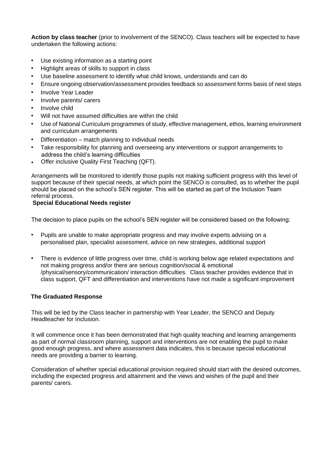**Action by class teacher** (prior to involvement of the SENCO). Class teachers will be expected to have undertaken the following actions:

- Use existing information as a starting point
- Highlight areas of skills to support in class
- Use baseline assessment to identify what child knows, understands and can do
- Ensure ongoing observation/assessment provides feedback so assessment forms basis of next steps
- Involve Year Leader
- Involve parents/ carers
- Involve child
- Will not have assumed difficulties are within the child
- Use of National Curriculum programmes of study, effective management, ethos, learning environment and curriculum arrangements
- Differentiation match planning to individual needs
- Take responsibility for planning and overseeing any interventions or support arrangements to address the child's learning difficulties
- Offer inclusive Quality First Teaching (QFT).

Arrangements will be monitored to identify those pupils not making sufficient progress with this level of support because of their special needs, at which point the SENCO is consulted, as to whether the pupil should be placed on the school's SEN register. This will be started as part of the Inclusion Team referral process.

#### **Special Educational Needs register**

The decision to place pupils on the school's SEN register will be considered based on the following:

- Pupils are unable to make appropriate progress and may involve experts advising on a personalised plan, specialist assessment, advice on new strategies, additional support
- There is evidence of little progress over time, child is working below age related expectations and not making progress and/or there are serious cognition/social & emotional /physical/sensory/communication/ interaction difficulties. Class teacher provides evidence that in class support, QFT and differentiation and interventions have not made a significant improvement

#### **The Graduated Response**

This will be led by the Class teacher in partnership with Year Leader, the SENCO and Deputy Headteacher for Inclusion.

It will commence once it has been demonstrated that high quality teaching and learning arrangements as part of normal classroom planning, support and interventions are not enabling the pupil to make good enough progress, and where assessment data indicates, this is because special educational needs are providing a barrier to learning.

Consideration of whether special educational provision required should start with the desired outcomes, including the expected progress and attainment and the views and wishes of the pupil and their parents/ carers.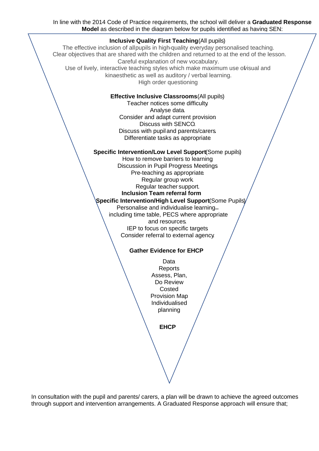In line with the 2014 Code of Practice requirements, the school will deliver a **Graduated Response Model** as described in the diagram below for pupils identified as having SEN:



In consultation with the pupil and parents/ carers, a plan will be drawn to achieve the agreed outcomes through support and intervention arrangements. A Graduated Response approach will ensure that;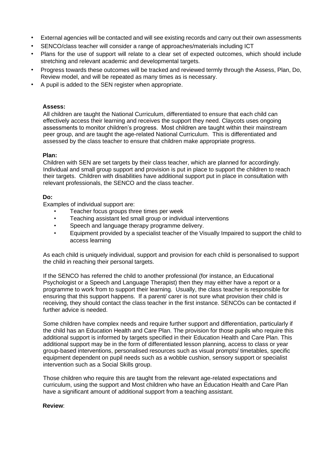- External agencies will be contacted and will see existing records and carry out their own assessments
- SENCO/class teacher will consider a range of approaches/materials including ICT
- Plans for the use of support will relate to a clear set of expected outcomes, which should include stretching and relevant academic and developmental targets.
- Progress towards these outcomes will be tracked and reviewed termly through the Assess, Plan, Do, Review model, and will be repeated as many times as is necessary.
- A pupil is added to the SEN register when appropriate.

#### **Assess:**

All children are taught the National Curriculum, differentiated to ensure that each child can effectively access their learning and receives the support they need. Claycots uses ongoing assessments to monitor children's progress. Most children are taught within their mainstream peer group, and are taught the age-related National Curriculum. This is differentiated and assessed by the class teacher to ensure that children make appropriate progress.

#### **Plan:**

Children with SEN are set targets by their class teacher, which are planned for accordingly. Individual and small group support and provision is put in place to support the children to reach their targets. Children with disabilities have additional support put in place in consultation with relevant professionals, the SENCO and the class teacher.

#### **Do:**

Examples of individual support are:

- Teacher focus groups three times per week
- Teaching assistant led small group or individual interventions
- Speech and language therapy programme delivery.
- Equipment provided by a specialist teacher of the Visually Impaired to support the child to access learning

As each child is uniquely individual, support and provision for each child is personalised to support the child in reaching their personal targets.

If the SENCO has referred the child to another professional (for instance, an Educational Psychologist or a Speech and Language Therapist) then they may either have a report or a programme to work from to support their learning. Usually, the class teacher is responsible for ensuring that this support happens. If a parent/ carer is not sure what provision their child is receiving, they should contact the class teacher in the first instance. SENCOs can be contacted if further advice is needed.

Some children have complex needs and require further support and differentiation, particularly if the child has an Education Health and Care Plan. The provision for those pupils who require this additional support is informed by targets specified in their Education Health and Care Plan. This additional support may be in the form of differentiated lesson planning, access to class or year group-based interventions, personalised resources such as visual prompts/ timetables, specific equipment dependent on pupil needs such as a wobble cushion, sensory support or specialist intervention such as a Social Skills group.

Those children who require this are taught from the relevant age-related expectations and curriculum, using the support and Most children who have an Education Health and Care Plan have a significant amount of additional support from a teaching assistant.

#### **Review**: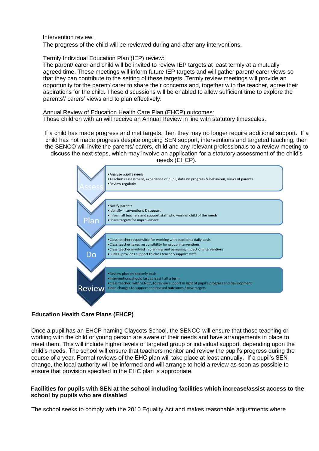#### Intervention review:

The progress of the child will be reviewed during and after any interventions.

#### Termly Individual Education Plan (IEP) review:

The parent/ carer and child will be invited to review IEP targets at least termly at a mutually agreed time. These meetings will inform future IEP targets and will gather parent/ carer views so that they can contribute to the setting of these targets. Termly review meetings will provide an opportunity for the parent/ carer to share their concerns and, together with the teacher, agree their aspirations for the child. These discussions will be enabled to allow sufficient time to explore the parents'/ carers' views and to plan effectively.

#### Annual Review of Education Health Care Plan (EHCP) outcomes:

Those children with an will receive an Annual Review in line with statutory timescales.

If a child has made progress and met targets, then they may no longer require additional support. If a child has not made progress despite ongoing SEN support, interventions and targeted teaching, then the SENCO will invite the parents/ carers, child and any relevant professionals to a review meeting to discuss the next steps, which may involve an application for a statutory assessment of the child's



#### needs (EHCP).

#### **Education Health Care Plans (EHCP)**

Once a pupil has an EHCP naming Claycots School, the SENCO will ensure that those teaching or working with the child or young person are aware of their needs and have arrangements in place to meet them. This will include higher levels of targeted group or individual support, depending upon the child's needs. The school will ensure that teachers monitor and review the pupil's progress during the course of a year. Formal reviews of the EHC plan will take place at least annually. If a pupil's SEN change, the local authority will be informed and will arrange to hold a review as soon as possible to ensure that provision specified in the EHC plan is appropriate.

#### **Facilities for pupils with SEN at the school including facilities which increase/assist access to the school by pupils who are disabled**

The school seeks to comply with the 2010 Equality Act and makes reasonable adjustments where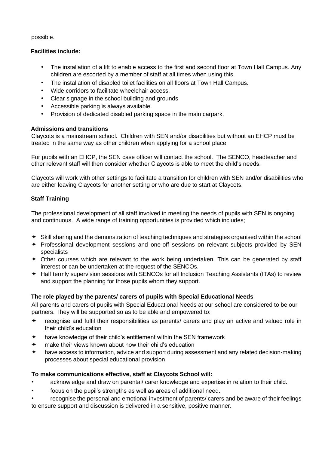possible.

#### **Facilities include:**

- The installation of a lift to enable access to the first and second floor at Town Hall Campus. Any children are escorted by a member of staff at all times when using this.
- The installation of disabled toilet facilities on all floors at Town Hall Campus.
- Wide corridors to facilitate wheelchair access.
- Clear signage in the school building and grounds
- Accessible parking is always available.
- Provision of dedicated disabled parking space in the main carpark.

#### **Admissions and transitions**

Claycots is a mainstream school. Children with SEN and/or disabilities but without an EHCP must be treated in the same way as other children when applying for a school place.

For pupils with an EHCP, the SEN case officer will contact the school. The SENCO, headteacher and other relevant staff will then consider whether Claycots is able to meet the child's needs.

Claycots will work with other settings to facilitate a transition for children with SEN and/or disabilities who are either leaving Claycots for another setting or who are due to start at Claycots.

#### **Staff Training**

The professional development of all staff involved in meeting the needs of pupils with SEN is ongoing and continuous. A wide range of training opportunities is provided which includes;

- Skill sharing and the demonstration of teaching techniques and strategies organised within the school
- Professional development sessions and one-off sessions on relevant subjects provided by SEN specialists
- Other courses which are relevant to the work being undertaken. This can be generated by staff interest or can be undertaken at the request of the SENCOs.
- Half termly supervision sessions with SENCOs for all Inclusion Teaching Assistants (ITAs) to review and support the planning for those pupils whom they support.

#### **The role played by the parents/ carers of pupils with Special Educational Needs**

All parents and carers of pupils with Special Educational Needs at our school are considered to be our partners. They will be supported so as to be able and empowered to:

- recognise and fulfil their responsibilities as parents/ carers and play an active and valued role in their child's education
- have knowledge of their child's entitlement within the SEN framework
- $\triangleq$  make their views known about how their child's education
- $\bigstar$  have access to information, advice and support during assessment and any related decision-making processes about special educational provision

#### **To make communications effective, staff at Claycots School will:**

- acknowledge and draw on parental/ carer knowledge and expertise in relation to their child.
- focus on the pupil's strengths as well as areas of additional need.
- recognise the personal and emotional investment of parents/ carers and be aware of their feelings to ensure support and discussion is delivered in a sensitive, positive manner.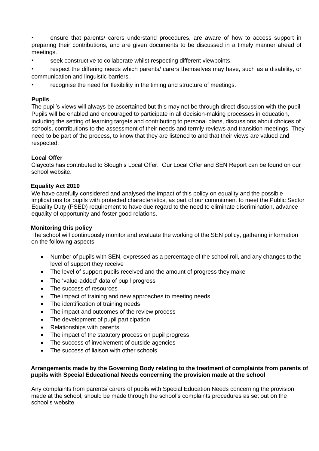• ensure that parents/ carers understand procedures, are aware of how to access support in preparing their contributions, and are given documents to be discussed in a timely manner ahead of meetings.

seek constructive to collaborate whilst respecting different viewpoints.

• respect the differing needs which parents/ carers themselves may have, such as a disability, or communication and linguistic barriers.

recognise the need for flexibility in the timing and structure of meetings.

#### **Pupils**

The pupil's views will always be ascertained but this may not be through direct discussion with the pupil. Pupils will be enabled and encouraged to participate in all decision-making processes in education, including the setting of learning targets and contributing to personal plans, discussions about choices of schools, contributions to the assessment of their needs and termly reviews and transition meetings. They need to be part of the process, to know that they are listened to and that their views are valued and respected.

#### **Local Offer**

Claycots has contributed to Slough's Local Offer. Our Local Offer and SEN Report can be found on our school website.

#### **Equality Act 2010**

We have carefully considered and analysed the impact of this policy on equality and the possible implications for pupils with protected characteristics, as part of our commitment to meet the Public Sector Equality Duty (PSED) requirement to have due regard to the need to eliminate discrimination, advance equality of opportunity and foster good relations.

#### **Monitoring this policy**

The school will continuously monitor and evaluate the working of the SEN policy, gathering information on the following aspects:

- Number of pupils with SEN, expressed as a percentage of the school roll, and any changes to the level of support they receive
- The level of support pupils received and the amount of progress they make
- The 'value-added' data of pupil progress
- The success of resources
- The impact of training and new approaches to meeting needs
- The identification of training needs
- The impact and outcomes of the review process
- The development of pupil participation
- Relationships with parents
- The impact of the statutory process on pupil progress
- The success of involvement of outside agencies
- The success of liaison with other schools

#### **Arrangements made by the Governing Body relating to the treatment of complaints from parents of pupils with Special Educational Needs concerning the provision made at the school**

Any complaints from parents/ carers of pupils with Special Education Needs concerning the provision made at the school, should be made through the school's complaints procedures as set out on the school's website.